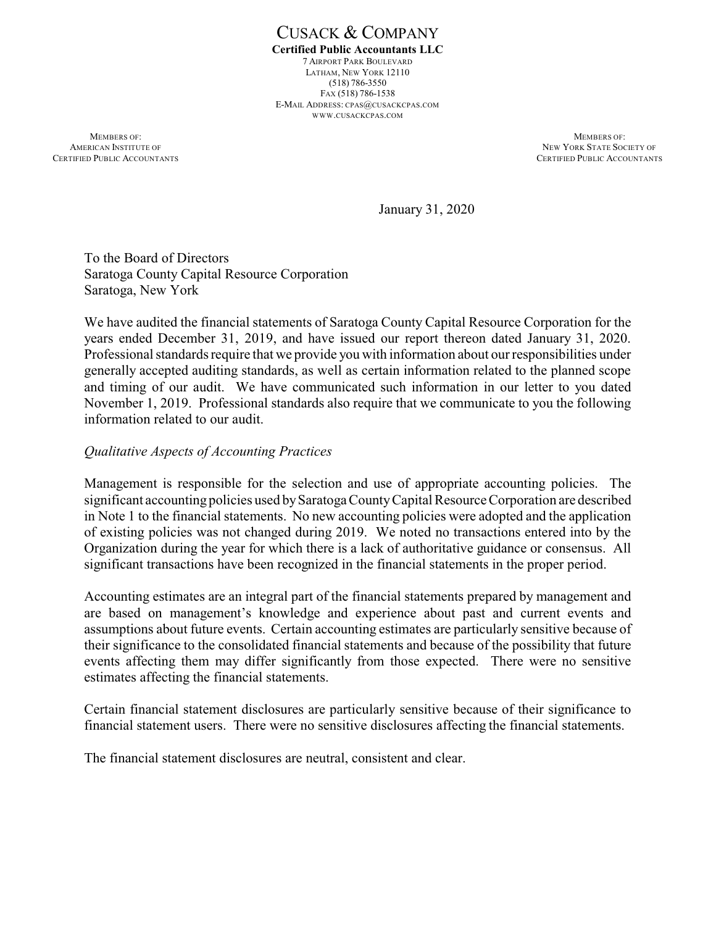CUSACK & COMPANY **Certified Public Accountants LLC** 7 AIRPORT PARK BOULEVARD LATHAM, NEW YORK 12110 (518) 786-3550 FAX (518) 786-1538 E-MAIL ADDRESS: CPAS@CUSACKCPAS.COM WWW.CUSACKCPAS.COM

**MEMBERS OF:** MEMBERS OF: AMERICAN INSTITUTE OF NEW YORK STATE SOCIETY OF NEW YORK STATE SOCIETY OF NEW YORK STATE SOCIETY OF NEW YORK STATE SOCIETY OF SAME ACCOUNTANTS

CERTIFIED PUBLIC ACCOUNTANTS

January 31, 2020

To the Board of Directors Saratoga County Capital Resource Corporation Saratoga, New York

We have audited the financial statements of Saratoga County Capital Resource Corporation for the years ended December 31, 2019, and have issued our report thereon dated January 31, 2020. Professional standards require that we provide you with information about our responsibilities under generally accepted auditing standards, as well as certain information related to the planned scope and timing of our audit. We have communicated such information in our letter to you dated November 1, 2019. Professional standards also require that we communicate to you the following information related to our audit.

## *Qualitative Aspects of Accounting Practices*

Management is responsible for the selection and use of appropriate accounting policies. The significant accounting policies used bySaratoga CountyCapital Resource Corporation are described in Note 1 to the financial statements. No new accounting policies were adopted and the application of existing policies was not changed during 2019. We noted no transactions entered into by the Organization during the year for which there is a lack of authoritative guidance or consensus. All significant transactions have been recognized in the financial statements in the proper period.

Accounting estimates are an integral part of the financial statements prepared by management and are based on management's knowledge and experience about past and current events and assumptions about future events. Certain accounting estimates are particularly sensitive because of their significance to the consolidated financial statements and because of the possibility that future events affecting them may differ significantly from those expected. There were no sensitive estimates affecting the financial statements.

Certain financial statement disclosures are particularly sensitive because of their significance to financial statement users. There were no sensitive disclosures affecting the financial statements.

The financial statement disclosures are neutral, consistent and clear.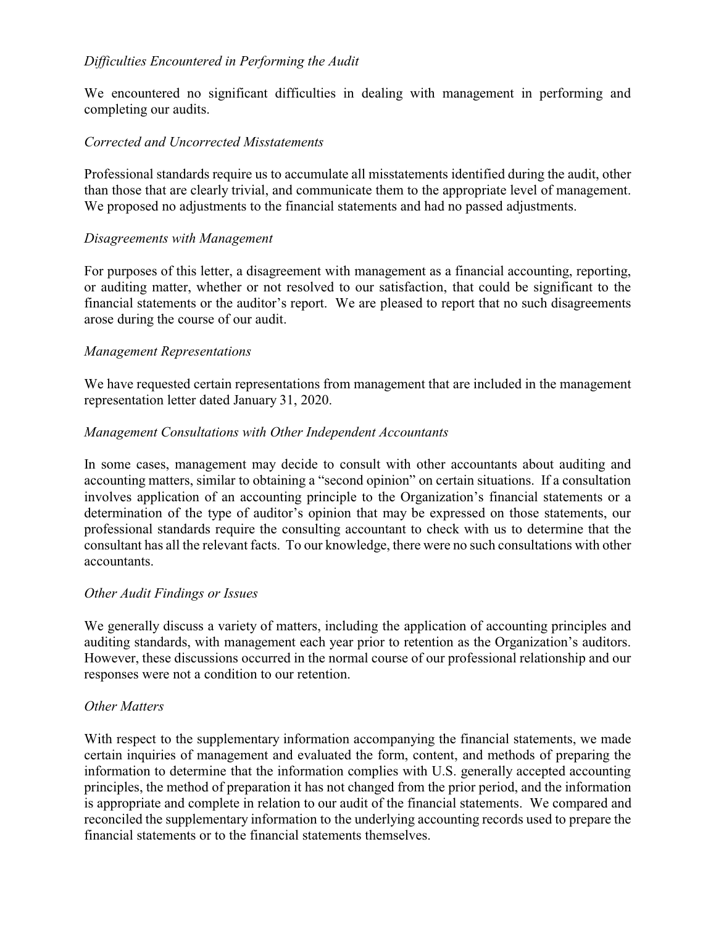# *Difficulties Encountered in Performing the Audit*

We encountered no significant difficulties in dealing with management in performing and completing our audits.

## *Corrected and Uncorrected Misstatements*

Professional standards require us to accumulate all misstatements identified during the audit, other than those that are clearly trivial, and communicate them to the appropriate level of management. We proposed no adjustments to the financial statements and had no passed adjustments.

## *Disagreements with Management*

For purposes of this letter, a disagreement with management as a financial accounting, reporting, or auditing matter, whether or not resolved to our satisfaction, that could be significant to the financial statements or the auditor's report. We are pleased to report that no such disagreements arose during the course of our audit.

## *Management Representations*

We have requested certain representations from management that are included in the management representation letter dated January 31, 2020.

## *Management Consultations with Other Independent Accountants*

In some cases, management may decide to consult with other accountants about auditing and accounting matters, similar to obtaining a "second opinion" on certain situations. If a consultation involves application of an accounting principle to the Organization's financial statements or a determination of the type of auditor's opinion that may be expressed on those statements, our professional standards require the consulting accountant to check with us to determine that the consultant has all the relevant facts. To our knowledge, there were no such consultations with other accountants.

#### *Other Audit Findings or Issues*

We generally discuss a variety of matters, including the application of accounting principles and auditing standards, with management each year prior to retention as the Organization's auditors. However, these discussions occurred in the normal course of our professional relationship and our responses were not a condition to our retention.

## *Other Matters*

With respect to the supplementary information accompanying the financial statements, we made certain inquiries of management and evaluated the form, content, and methods of preparing the information to determine that the information complies with U.S. generally accepted accounting principles, the method of preparation it has not changed from the prior period, and the information is appropriate and complete in relation to our audit of the financial statements. We compared and reconciled the supplementary information to the underlying accounting records used to prepare the financial statements or to the financial statements themselves.